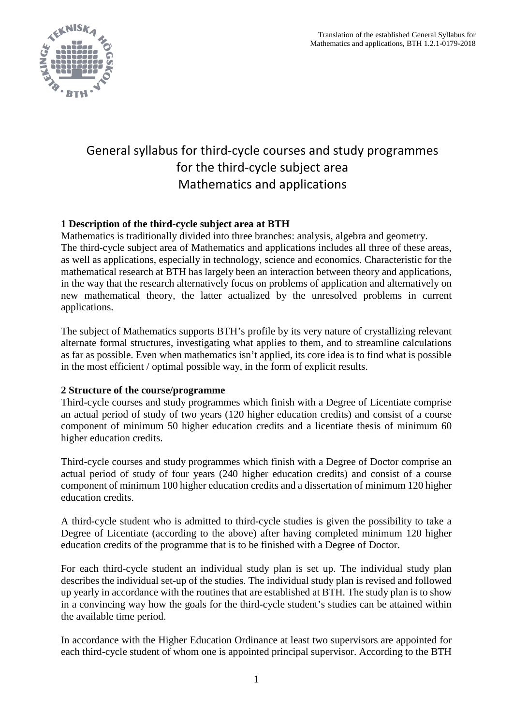

# General syllabus for third-cycle courses and study programmes for the third-cycle subject area Mathematics and applications

# **1 Description of the third-cycle subject area at BTH**

Mathematics is traditionally divided into three branches: analysis, algebra and geometry. The third-cycle subject area of Mathematics and applications includes all three of these areas, as well as applications, especially in technology, science and economics. Characteristic for the mathematical research at BTH has largely been an interaction between theory and applications, in the way that the research alternatively focus on problems of application and alternatively on new mathematical theory, the latter actualized by the unresolved problems in current applications.

The subject of Mathematics supports BTH's profile by its very nature of crystallizing relevant alternate formal structures, investigating what applies to them, and to streamline calculations as far as possible. Even when mathematics isn't applied, its core idea is to find what is possible in the most efficient / optimal possible way, in the form of explicit results.

# **2 Structure of the course/programme**

Third-cycle courses and study programmes which finish with a Degree of Licentiate comprise an actual period of study of two years (120 higher education credits) and consist of a course component of minimum 50 higher education credits and a licentiate thesis of minimum 60 higher education credits.

Third-cycle courses and study programmes which finish with a Degree of Doctor comprise an actual period of study of four years (240 higher education credits) and consist of a course component of minimum 100 higher education credits and a dissertation of minimum 120 higher education credits.

A third-cycle student who is admitted to third-cycle studies is given the possibility to take a Degree of Licentiate (according to the above) after having completed minimum 120 higher education credits of the programme that is to be finished with a Degree of Doctor.

For each third-cycle student an individual study plan is set up. The individual study plan describes the individual set-up of the studies. The individual study plan is revised and followed up yearly in accordance with the routines that are established at BTH. The study plan is to show in a convincing way how the goals for the third-cycle student's studies can be attained within the available time period.

In accordance with the Higher Education Ordinance at least two supervisors are appointed for each third-cycle student of whom one is appointed principal supervisor. According to the BTH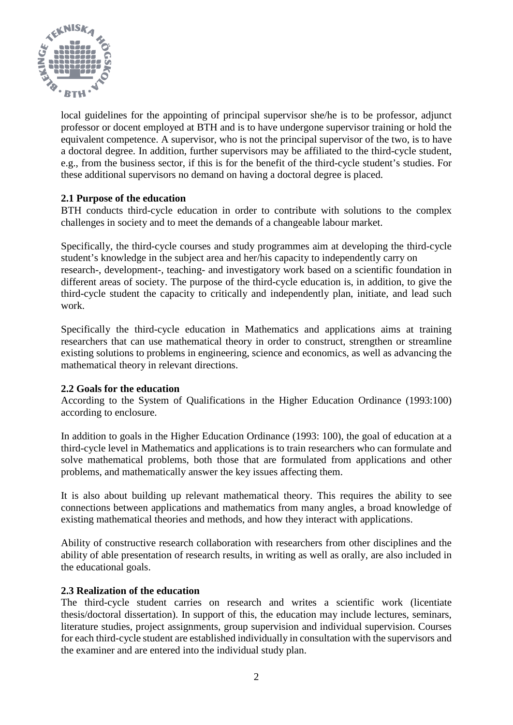

local guidelines for the appointing of principal supervisor she/he is to be professor, adjunct professor or docent employed at BTH and is to have undergone supervisor training or hold the equivalent competence. A supervisor, who is not the principal supervisor of the two, is to have a doctoral degree. In addition, further supervisors may be affiliated to the third-cycle student, e.g., from the business sector, if this is for the benefit of the third-cycle student's studies. For these additional supervisors no demand on having a doctoral degree is placed.

# **2.1 Purpose of the education**

BTH conducts third-cycle education in order to contribute with solutions to the complex challenges in society and to meet the demands of a changeable labour market.

Specifically, the third-cycle courses and study programmes aim at developing the third-cycle student's knowledge in the subject area and her/his capacity to independently carry on research-, development-, teaching- and investigatory work based on a scientific foundation in different areas of society. The purpose of the third-cycle education is, in addition, to give the third-cycle student the capacity to critically and independently plan, initiate, and lead such work.

Specifically the third-cycle education in Mathematics and applications aims at training researchers that can use mathematical theory in order to construct, strengthen or streamline existing solutions to problems in engineering, science and economics, as well as advancing the mathematical theory in relevant directions.

### **2.2 Goals for the education**

According to the System of Qualifications in the Higher Education Ordinance (1993:100) according to enclosure.

In addition to goals in the Higher Education Ordinance (1993: 100), the goal of education at a third-cycle level in Mathematics and applications is to train researchers who can formulate and solve mathematical problems, both those that are formulated from applications and other problems, and mathematically answer the key issues affecting them.

It is also about building up relevant mathematical theory. This requires the ability to see connections between applications and mathematics from many angles, a broad knowledge of existing mathematical theories and methods, and how they interact with applications.

Ability of constructive research collaboration with researchers from other disciplines and the ability of able presentation of research results, in writing as well as orally, are also included in the educational goals.

### **2.3 Realization of the education**

The third-cycle student carries on research and writes a scientific work (licentiate thesis/doctoral dissertation). In support of this, the education may include lectures, seminars, literature studies, project assignments, group supervision and individual supervision. Courses for each third-cycle student are established individually in consultation with the supervisors and the examiner and are entered into the individual study plan.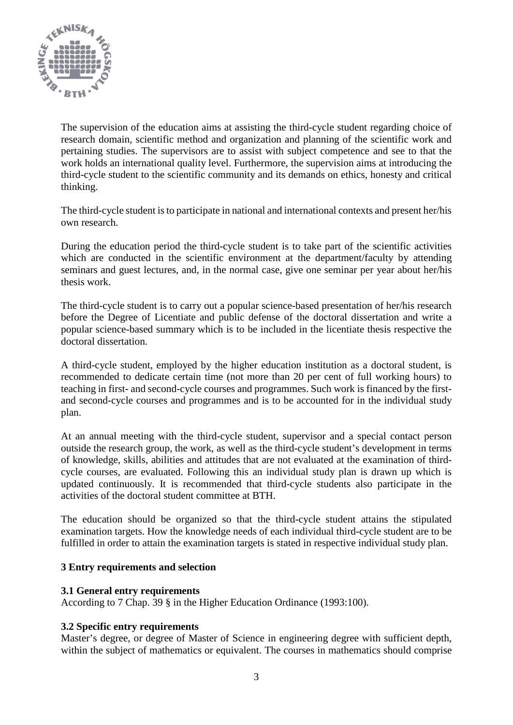

The supervision of the education aims at assisting the third-cycle student regarding choice of research domain, scientific method and organization and planning of the scientific work and pertaining studies. The supervisors are to assist with subject competence and see to that the work holds an international quality level. Furthermore, the supervision aims at introducing the third-cycle student to the scientific community and its demands on ethics, honesty and critical thinking.

The third-cycle student is to participate in national and international contexts and present her/his own research.

During the education period the third-cycle student is to take part of the scientific activities which are conducted in the scientific environment at the department/faculty by attending seminars and guest lectures, and, in the normal case, give one seminar per year about her/his thesis work.

The third-cycle student is to carry out a popular science-based presentation of her/his research before the Degree of Licentiate and public defense of the doctoral dissertation and write a popular science-based summary which is to be included in the licentiate thesis respective the doctoral dissertation.

A third-cycle student, employed by the higher education institution as a doctoral student, is recommended to dedicate certain time (not more than 20 per cent of full working hours) to teaching in first- and second-cycle courses and programmes. Such work is financed by the firstand second-cycle courses and programmes and is to be accounted for in the individual study plan.

At an annual meeting with the third-cycle student, supervisor and a special contact person outside the research group, the work, as well as the third-cycle student's development in terms of knowledge, skills, abilities and attitudes that are not evaluated at the examination of thirdcycle courses, are evaluated. Following this an individual study plan is drawn up which is updated continuously. It is recommended that third-cycle students also participate in the activities of the doctoral student committee at BTH.

The education should be organized so that the third-cycle student attains the stipulated examination targets. How the knowledge needs of each individual third-cycle student are to be fulfilled in order to attain the examination targets is stated in respective individual study plan.

### **3 Entry requirements and selection**

### **3.1 General entry requirements**

According to 7 Chap. 39 § in the Higher Education Ordinance (1993:100).

# **3.2 Specific entry requirements**

Master's degree, or degree of Master of Science in engineering degree with sufficient depth, within the subject of mathematics or equivalent. The courses in mathematics should comprise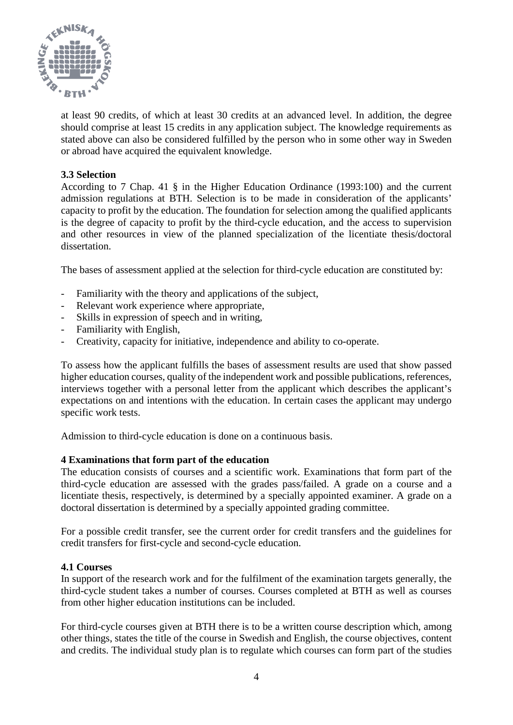

at least 90 credits, of which at least 30 credits at an advanced level. In addition, the degree should comprise at least 15 credits in any application subject. The knowledge requirements as stated above can also be considered fulfilled by the person who in some other way in Sweden or abroad have acquired the equivalent knowledge.

# **3.3 Selection**

According to 7 Chap. 41 § in the Higher Education Ordinance (1993:100) and the current admission regulations at BTH. Selection is to be made in consideration of the applicants' capacity to profit by the education. The foundation for selection among the qualified applicants is the degree of capacity to profit by the third-cycle education, and the access to supervision and other resources in view of the planned specialization of the licentiate thesis/doctoral dissertation.

The bases of assessment applied at the selection for third-cycle education are constituted by:

- Familiarity with the theory and applications of the subject,
- Relevant work experience where appropriate,
- Skills in expression of speech and in writing,
- Familiarity with English,
- Creativity, capacity for initiative, independence and ability to co-operate.

To assess how the applicant fulfills the bases of assessment results are used that show passed higher education courses, quality of the independent work and possible publications, references, interviews together with a personal letter from the applicant which describes the applicant's expectations on and intentions with the education. In certain cases the applicant may undergo specific work tests.

Admission to third-cycle education is done on a continuous basis.

### **4 Examinations that form part of the education**

The education consists of courses and a scientific work. Examinations that form part of the third-cycle education are assessed with the grades pass/failed. A grade on a course and a licentiate thesis, respectively, is determined by a specially appointed examiner. A grade on a doctoral dissertation is determined by a specially appointed grading committee.

For a possible credit transfer, see the current order for credit transfers and the guidelines for credit transfers for first-cycle and second-cycle education.

### **4.1 Courses**

In support of the research work and for the fulfilment of the examination targets generally, the third-cycle student takes a number of courses. Courses completed at BTH as well as courses from other higher education institutions can be included.

For third-cycle courses given at BTH there is to be a written course description which, among other things, states the title of the course in Swedish and English, the course objectives, content and credits. The individual study plan is to regulate which courses can form part of the studies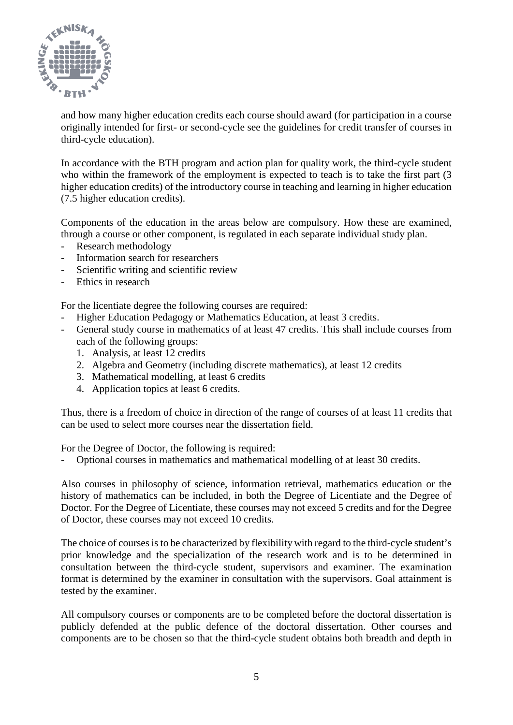

and how many higher education credits each course should award (for participation in a course originally intended for first- or second-cycle see the guidelines for credit transfer of courses in third-cycle education).

In accordance with the BTH program and action plan for quality work, the third-cycle student who within the framework of the employment is expected to teach is to take the first part (3) higher education credits) of the introductory course in teaching and learning in higher education (7.5 higher education credits).

Components of the education in the areas below are compulsory. How these are examined, through a course or other component, is regulated in each separate individual study plan.

- Research methodology
- Information search for researchers
- Scientific writing and scientific review
- Ethics in research

For the licentiate degree the following courses are required:

- Higher Education Pedagogy or Mathematics Education, at least 3 credits.
- General study course in mathematics of at least 47 credits. This shall include courses from each of the following groups:
	- 1. Analysis, at least 12 credits
	- 2. Algebra and Geometry (including discrete mathematics), at least 12 credits
	- 3. Mathematical modelling, at least 6 credits
	- 4. Application topics at least 6 credits.

Thus, there is a freedom of choice in direction of the range of courses of at least 11 credits that can be used to select more courses near the dissertation field.

For the Degree of Doctor, the following is required:

- Optional courses in mathematics and mathematical modelling of at least 30 credits.

Also courses in philosophy of science, information retrieval, mathematics education or the history of mathematics can be included, in both the Degree of Licentiate and the Degree of Doctor. For the Degree of Licentiate, these courses may not exceed 5 credits and for the Degree of Doctor, these courses may not exceed 10 credits.

The choice of courses is to be characterized by flexibility with regard to the third-cycle student's prior knowledge and the specialization of the research work and is to be determined in consultation between the third-cycle student, supervisors and examiner. The examination format is determined by the examiner in consultation with the supervisors. Goal attainment is tested by the examiner.

All compulsory courses or components are to be completed before the doctoral dissertation is publicly defended at the public defence of the doctoral dissertation. Other courses and components are to be chosen so that the third-cycle student obtains both breadth and depth in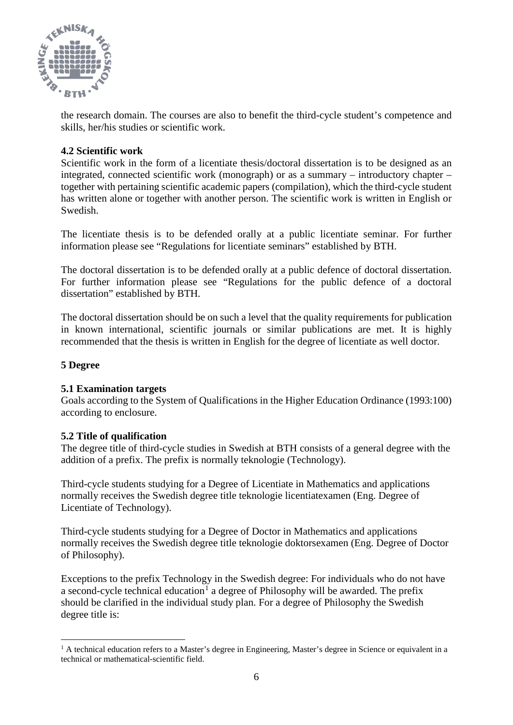

the research domain. The courses are also to benefit the third-cycle student's competence and skills, her/his studies or scientific work.

## **4.2 Scientific work**

Scientific work in the form of a licentiate thesis/doctoral dissertation is to be designed as an integrated, connected scientific work (monograph) or as a summary – introductory chapter – together with pertaining scientific academic papers (compilation), which the third-cycle student has written alone or together with another person. The scientific work is written in English or Swedish.

The licentiate thesis is to be defended orally at a public licentiate seminar. For further information please see "Regulations for licentiate seminars" established by BTH.

The doctoral dissertation is to be defended orally at a public defence of doctoral dissertation. For further information please see "Regulations for the public defence of a doctoral dissertation" established by BTH.

The doctoral dissertation should be on such a level that the quality requirements for publication in known international, scientific journals or similar publications are met. It is highly recommended that the thesis is written in English for the degree of licentiate as well doctor.

### **5 Degree**

### **5.1 Examination targets**

Goals according to the System of Qualifications in the Higher Education Ordinance (1993:100) according to enclosure.

### **5.2 Title of qualification**

The degree title of third-cycle studies in Swedish at BTH consists of a general degree with the addition of a prefix. The prefix is normally teknologie (Technology).

Third-cycle students studying for a Degree of Licentiate in Mathematics and applications normally receives the Swedish degree title teknologie licentiatexamen (Eng. Degree of Licentiate of Technology).

Third-cycle students studying for a Degree of Doctor in Mathematics and applications normally receives the Swedish degree title teknologie doktorsexamen (Eng. Degree of Doctor of Philosophy).

Exceptions to the prefix Technology in the Swedish degree: For individuals who do not have a second-cycle technical education<sup>[1](#page-5-0)</sup> a degree of Philosophy will be awarded. The prefix should be clarified in the individual study plan. For a degree of Philosophy the Swedish degree title is:

<span id="page-5-0"></span> $<sup>1</sup>$  A technical education refers to a Master's degree in Engineering, Master's degree in Science or equivalent in a</sup> technical or mathematical-scientific field.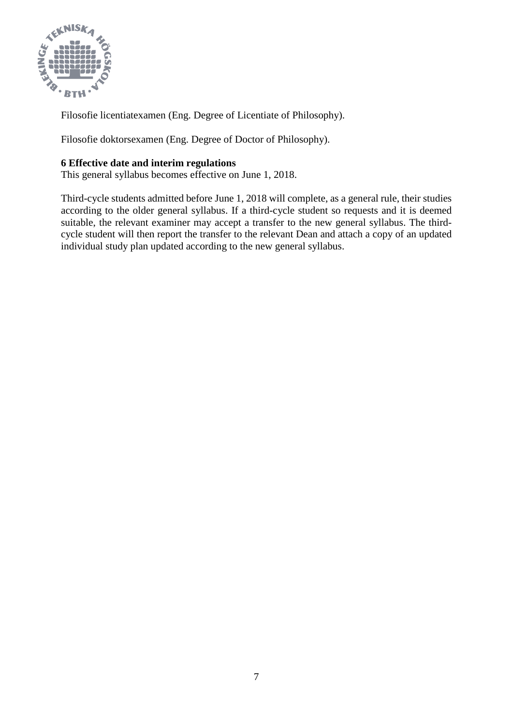

Filosofie licentiatexamen (Eng. Degree of Licentiate of Philosophy).

Filosofie doktorsexamen (Eng. Degree of Doctor of Philosophy).

## **6 Effective date and interim regulations**

This general syllabus becomes effective on June 1, 2018.

Third-cycle students admitted before June 1, 2018 will complete, as a general rule, their studies according to the older general syllabus. If a third-cycle student so requests and it is deemed suitable, the relevant examiner may accept a transfer to the new general syllabus. The thirdcycle student will then report the transfer to the relevant Dean and attach a copy of an updated individual study plan updated according to the new general syllabus.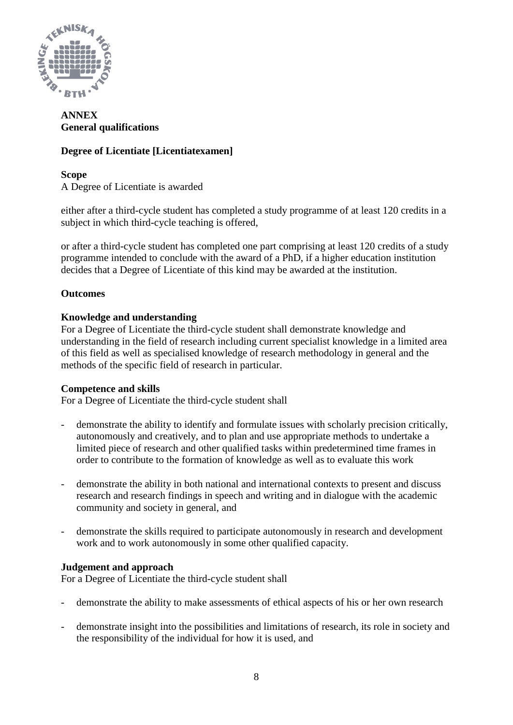

# **ANNEX General qualifications**

# **Degree of Licentiate [Licentiatexamen]**

**Scope** A Degree of Licentiate is awarded

either after a third-cycle student has completed a study programme of at least 120 credits in a subject in which third-cycle teaching is offered,

or after a third-cycle student has completed one part comprising at least 120 credits of a study programme intended to conclude with the award of a PhD, if a higher education institution decides that a Degree of Licentiate of this kind may be awarded at the institution.

# **Outcomes**

# **Knowledge and understanding**

For a Degree of Licentiate the third-cycle student shall demonstrate knowledge and understanding in the field of research including current specialist knowledge in a limited area of this field as well as specialised knowledge of research methodology in general and the methods of the specific field of research in particular.

### **Competence and skills**

For a Degree of Licentiate the third-cycle student shall

- demonstrate the ability to identify and formulate issues with scholarly precision critically, autonomously and creatively, and to plan and use appropriate methods to undertake a limited piece of research and other qualified tasks within predetermined time frames in order to contribute to the formation of knowledge as well as to evaluate this work
- demonstrate the ability in both national and international contexts to present and discuss research and research findings in speech and writing and in dialogue with the academic community and society in general, and
- demonstrate the skills required to participate autonomously in research and development work and to work autonomously in some other qualified capacity.

# **Judgement and approach**

For a Degree of Licentiate the third-cycle student shall

- demonstrate the ability to make assessments of ethical aspects of his or her own research
- demonstrate insight into the possibilities and limitations of research, its role in society and the responsibility of the individual for how it is used, and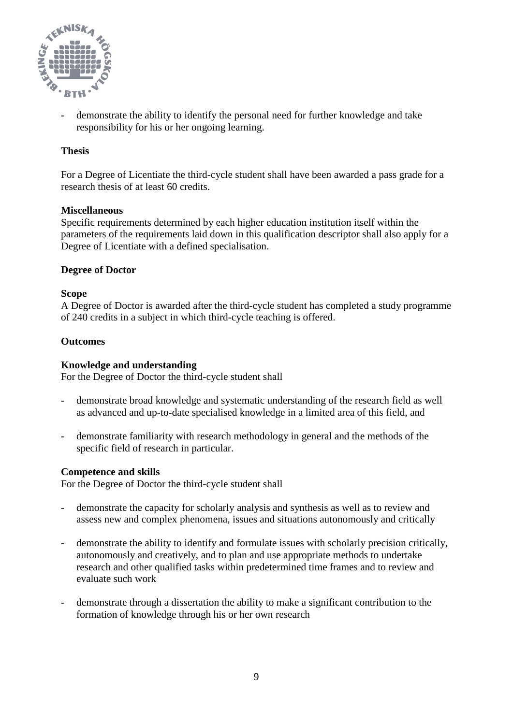

- demonstrate the ability to identify the personal need for further knowledge and take responsibility for his or her ongoing learning.

# **Thesis**

For a Degree of Licentiate the third-cycle student shall have been awarded a pass grade for a research thesis of at least 60 credits.

### **Miscellaneous**

Specific requirements determined by each higher education institution itself within the parameters of the requirements laid down in this qualification descriptor shall also apply for a Degree of Licentiate with a defined specialisation.

### **Degree of Doctor**

### **Scope**

A Degree of Doctor is awarded after the third-cycle student has completed a study programme of 240 credits in a subject in which third-cycle teaching is offered.

### **Outcomes**

### **Knowledge and understanding**

For the Degree of Doctor the third-cycle student shall

- demonstrate broad knowledge and systematic understanding of the research field as well as advanced and up-to-date specialised knowledge in a limited area of this field, and
- demonstrate familiarity with research methodology in general and the methods of the specific field of research in particular.

### **Competence and skills**

For the Degree of Doctor the third-cycle student shall

- demonstrate the capacity for scholarly analysis and synthesis as well as to review and assess new and complex phenomena, issues and situations autonomously and critically
- demonstrate the ability to identify and formulate issues with scholarly precision critically, autonomously and creatively, and to plan and use appropriate methods to undertake research and other qualified tasks within predetermined time frames and to review and evaluate such work
- demonstrate through a dissertation the ability to make a significant contribution to the formation of knowledge through his or her own research